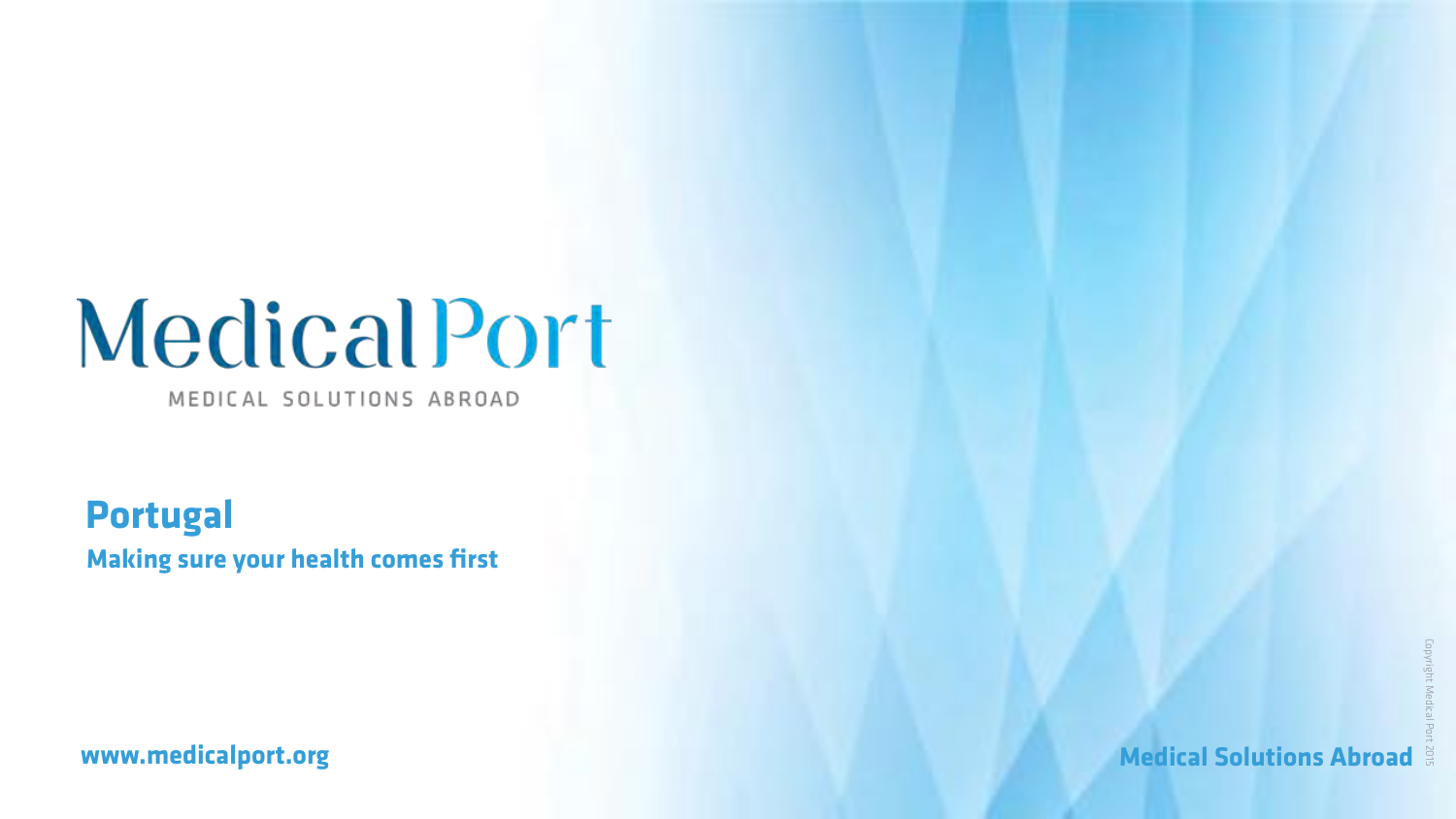# MedicalPort

MEDICAL SOLUTIONS ABROAD

### **[www.medicalport.org](http://www.medicalport.org)** and the state of the state of the Medical Solutions Abroad  $\frac{3}{2}$

**Portugal Making sure your health comes first**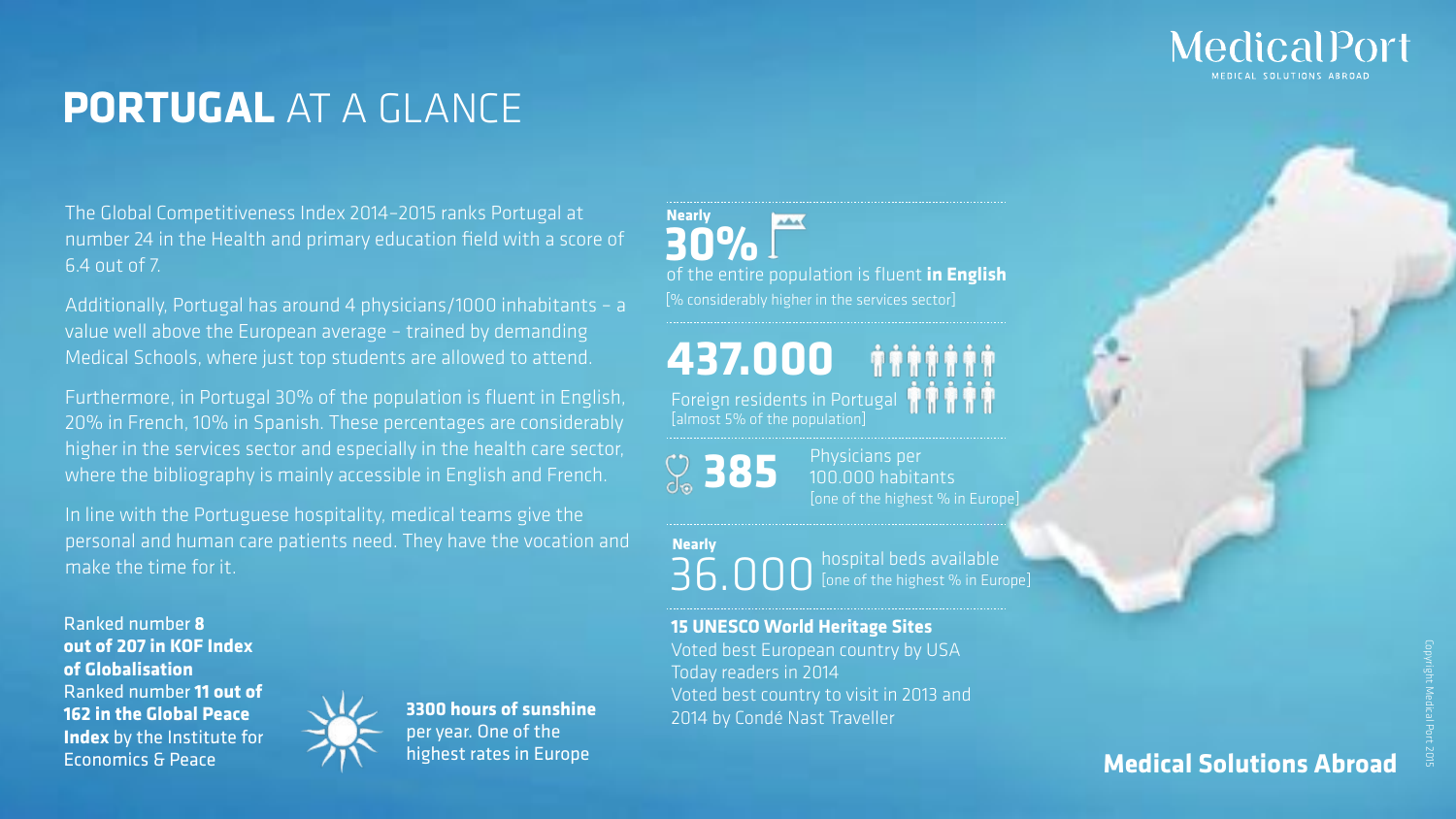## **PORTUGAL** AT A GLANCE

**437.000**

**Nearly AAA 30%**

**385**

36.000 **Nearly** hospital beds available [one of the highest % in Europe]

Physicians per 100.000 habitants [one of the highest % in Europe]

of the entire population is fluent **in English** [% considerably higher in the services sector]

Ranked number **8 out of 207 in KOF Index of Globalisation** Ranked number **11 out of 162 in the Global Peace Index** by the Institute for Economics & Peace



Foreign residents in Portugal [almost 5% of the population]

### **15 UNESCO World Heritage Sites**

Voted best European country by USA Today readers in 2014 Voted best country to visit in 2013 and 2014 by Condé Nast Traveller

## MedicalPort

### **Medical Solutions Abroad**

The Global Competitiveness Index 2014–2015 ranks Portugal at number 24 in the Health and primary education field with a score of 6.4 out of 7.

Additionally, Portugal has around 4 physicians/1000 inhabitants – a value well above the European average – trained by demanding Medical Schools, where just top students are allowed to attend.

Furthermore, in Portugal 30% of the population is fluent in English, 20% in French, 10% in Spanish. These percentages are considerably higher in the services sector and especially in the health care sector, where the bibliography is mainly accessible in English and French.

In line with the Portuguese hospitality, medical teams give the personal and human care patients need. They have the vocation and make the time for it.

> **3300 hours of sunshine**  per year. One of the highest rates in Europe

Copyright Medical Port 2015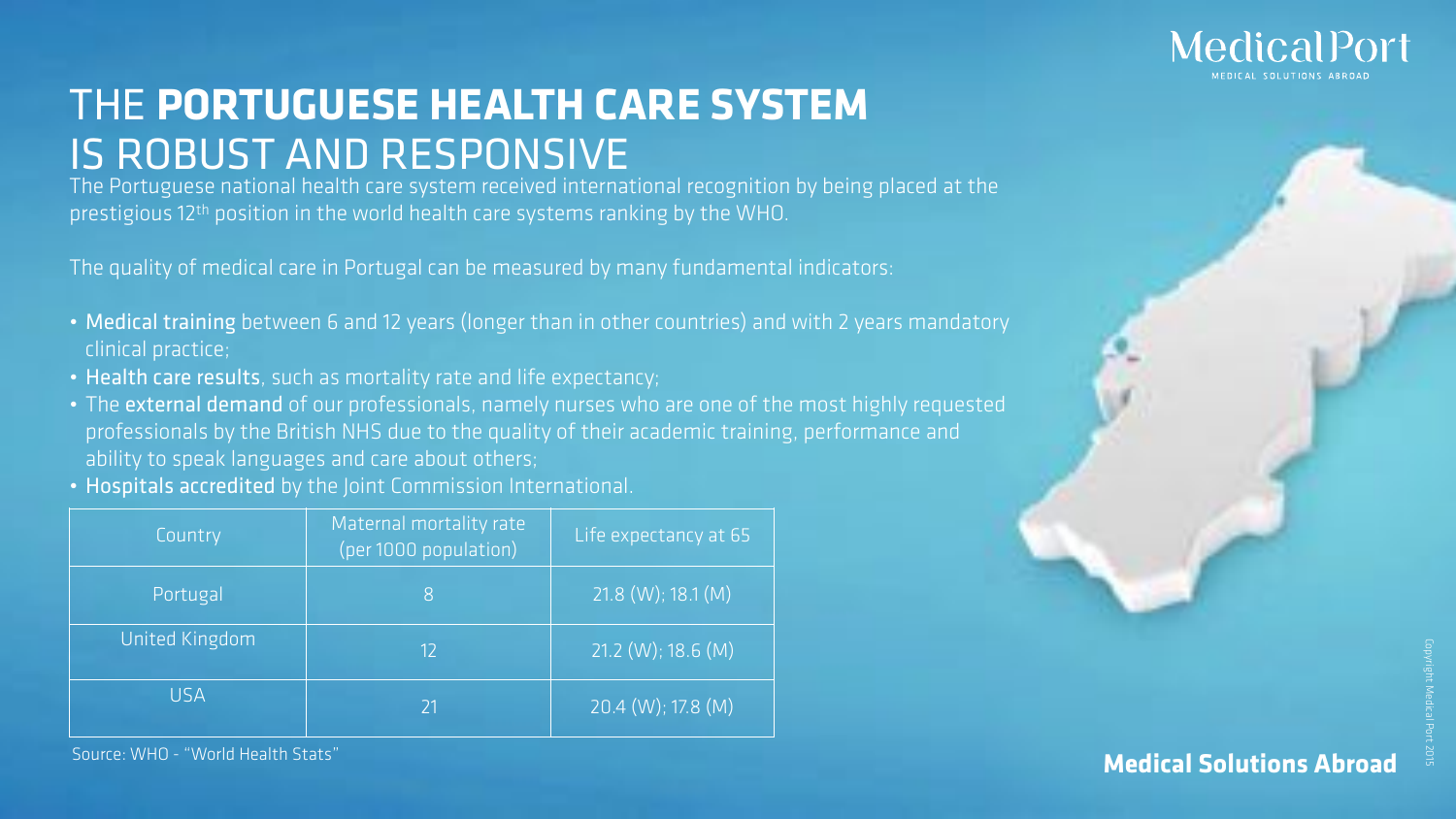## THE **PORTUGUESE HEALTH CARE SYSTEM** IS ROBUST AND RESPONSIVE

The Portuguese national health care system received international recognition by being placed at the prestigious 12<sup>th</sup> position in the world health care systems ranking by the WHO.

| Country               | Maternal mortality rate<br>(per 1000 population) | Life expectancy at 65        |
|-----------------------|--------------------------------------------------|------------------------------|
| Portugal              | 8                                                | $21.8$ (W); 18.1 (M)         |
| <b>United Kingdom</b> | 12                                               | $21.2$ (W); 18.6 (M)         |
| <b>USA</b>            | 21                                               | $[20.4 \, (W); 17.8 \, (M)]$ |

Source: WHO - "World Health Stats"

## MedicalPort

The quality of medical care in Portugal can be measured by many fundamental indicators:

- Medical training between 6 and 12 years (longer than in other countries) and with 2 years mandatory clinical practice;
- Health care results, such as mortality rate and life expectancy;
- The external demand of our professionals, namely nurses who are one of the most highly requested professionals by the British NHS due to the quality of their academic training, performance and ability to speak languages and care about others;
- Hospitals accredited by the Joint Commission International.

### **Medical Solutions Abroad**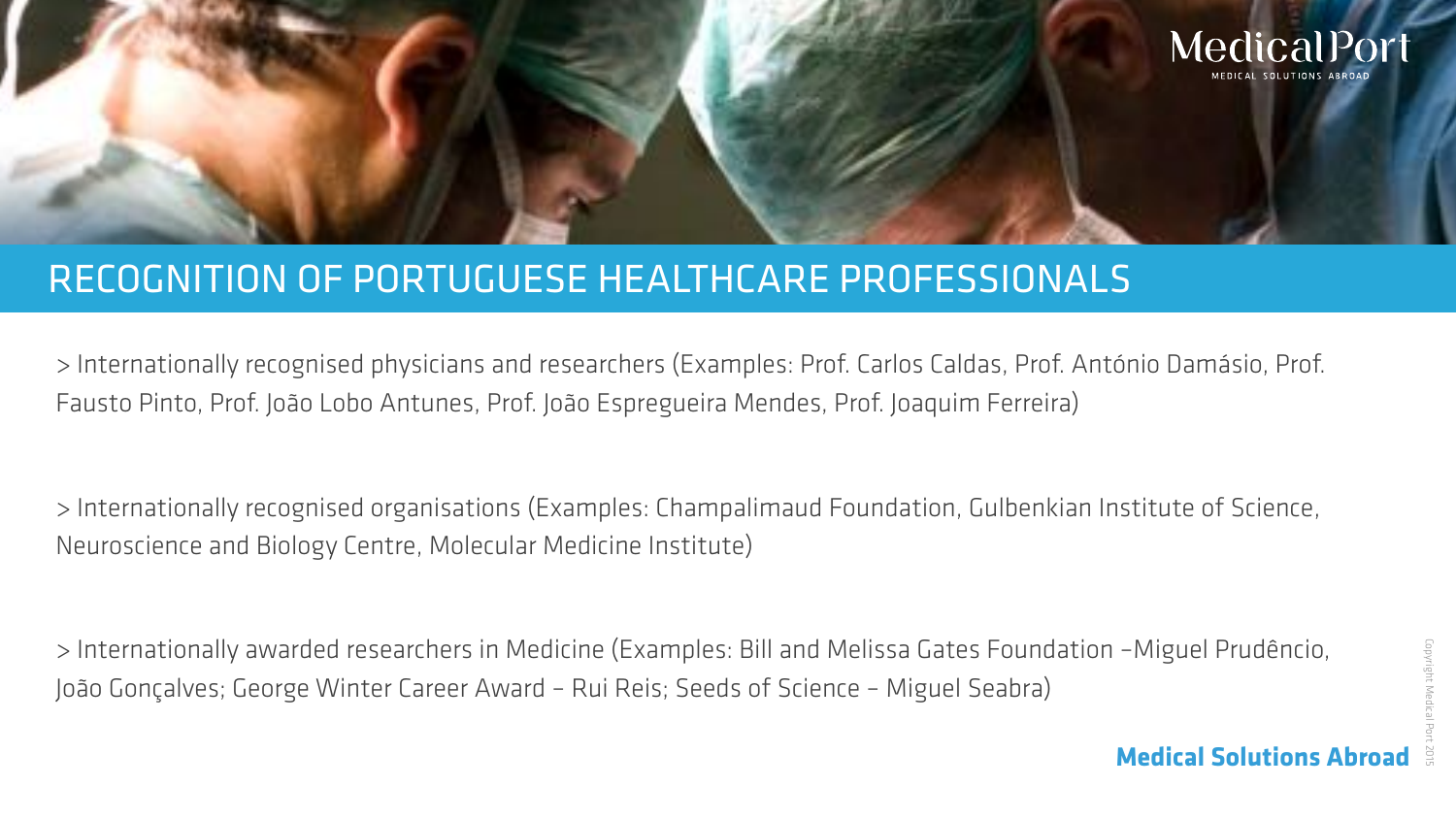> Internationally recognised physicians and researchers (Examples: Prof. Carlos Caldas, Prof. António Damásio, Prof. Fausto Pinto, Prof. João Lobo Antunes, Prof. João Espregueira Mendes, Prof. Joaquim Ferreira)

> Internationally recognised organisations (Examples: Champalimaud Foundation, Gulbenkian Institute of Science, Neuroscience and Biology Centre, Molecular Medicine Institute)

> Internationally awarded researchers in Medicine (Examples: Bill and Melissa Gates Foundation –Miguel Prudêncio, João Gonçalves; George Winter Career Award – Rui Reis; Seeds of Science – Miguel Seabra)





**Medical Solutions Abroad Medical Solutions Abroad**

## RECOGNITION OF PORTUGUESE HEALTHCARE PROFESSIONALS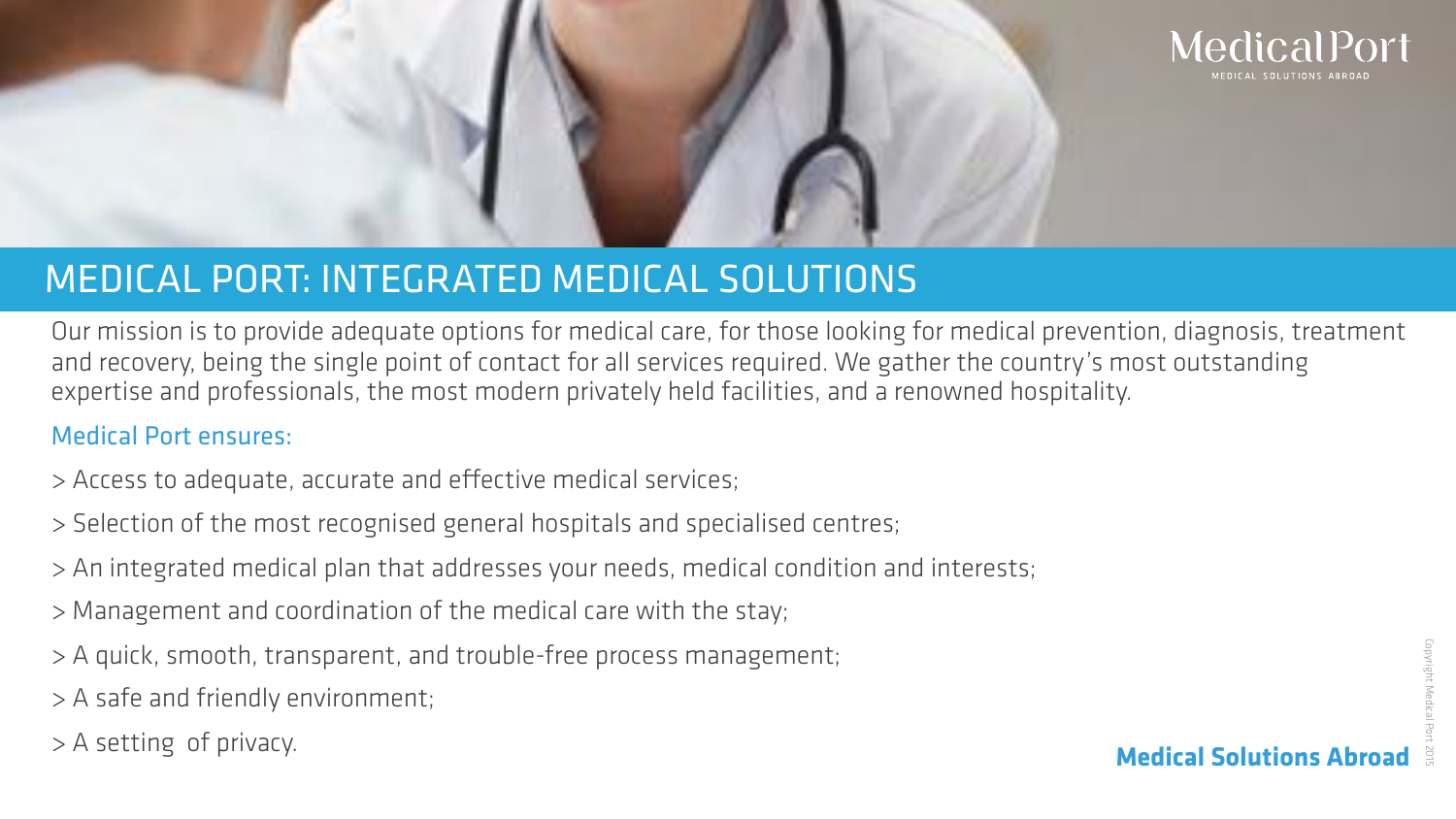Our mission is to provide adequate options for medical care, for those looking for medical prevention, diagnosis, treatment and recovery, being the single point of contact for all services required. We gather the country's most outstanding expertise and professionals, the most modern privately held facilities, and a renowned hospitality.

### Medical Port ensures:

- > Access to adequate, accurate and efective medical services;
- > Selection of the most recognised general hospitals and specialised centres;
- > An integrated medical plan that addresses your needs, medical condition and interests;
- > Management and coordination of the medical care with the stay;
- > A quick, smooth, transparent, and trouble-free process management;
- > A safe and friendly environment;
- > A setting of privacy.



## MEDICAL PORT: INTEGRATED MEDICAL SOLUTIONS

### **Medical Solutions Abroad**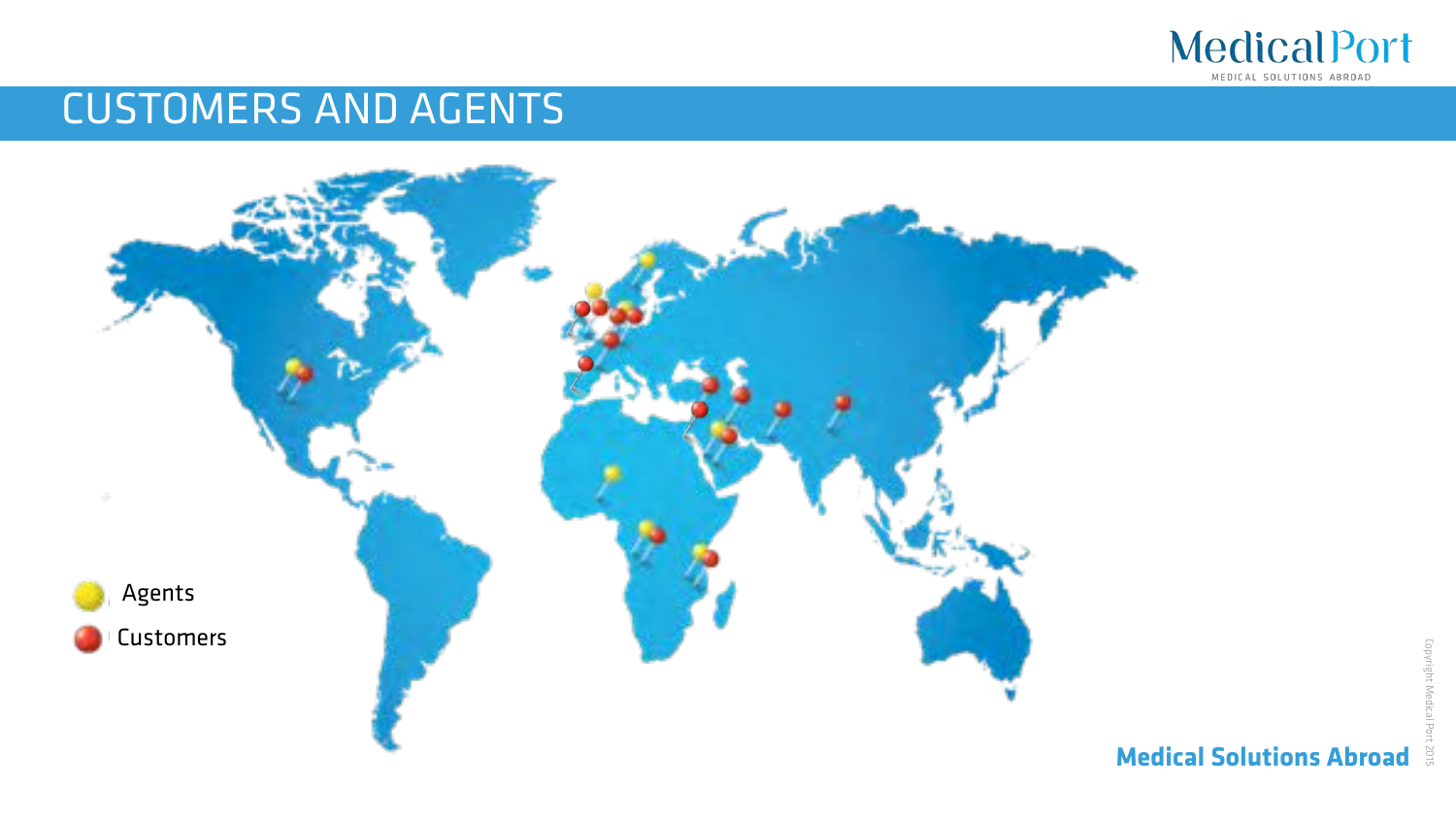

Copyright Medical Port 2015Copyright Medica

## CUSTOMERS AND AGENTS





MEDICAL SOLUTIONS ABROAD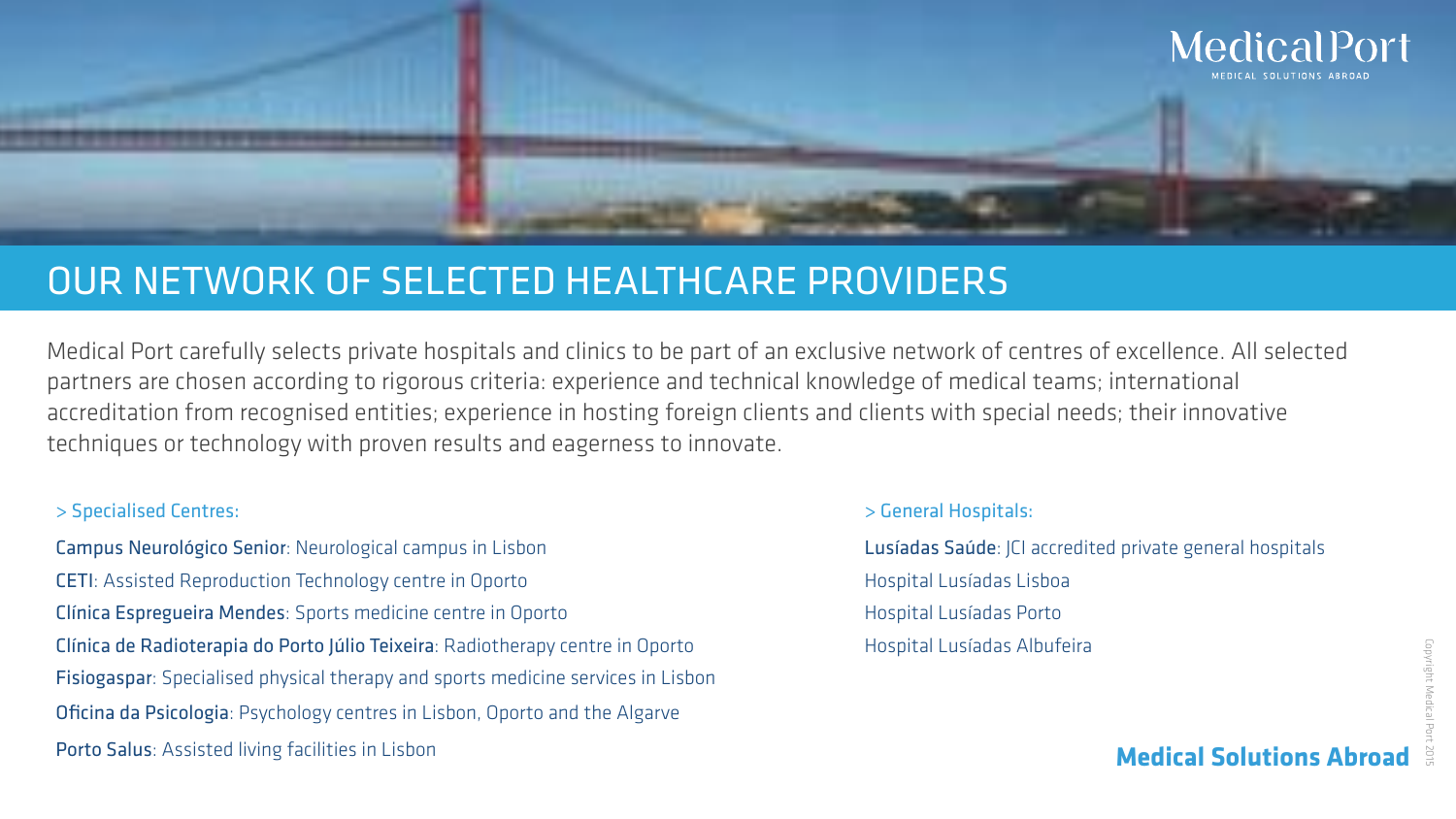

## OUR NETWORK OF SELECTED HEALTHCARE PROVIDERS

Medical Port carefully selects private hospitals and clinics to be part of an exclusive network of centres of excellence. All selected partners are chosen according to rigorous criteria: experience and technical knowledge of medical teams; international accreditation from recognised entities; experience in hosting foreign clients and clients with special needs; their innovative techniques or technology with proven results and eagerness to innovate.

### > Specialised Centres: > General Hospitals:

Campus Neurológico Senior: Neurological campus in Lisbon Lusíadas Saúde: JCI accredited private general hospitals CETI: Assisted Reproduction Technology centre in Oporto **EXACTI: Assisted Reproduction Technology centre in Oporto** Clínica Espregueira Mendes: Sports medicine centre in Oporto **Exercice Clínica Espregueira Mendes**: Sporto Clínica de Radioterapia do Porto Júlio Teixeira: Radiotherapy centre in Oporto Hospital Lusíadas Albufeira Fisiogaspar: Specialised physical therapy and sports medicine services in Lisbon Oficina da Psicologia: Psychology centres in Lisbon, Oporto and the Algarve Porto Salus: Assisted living facilities in Lisbon

- 
- 
- 
- 
- 

## MedicalPort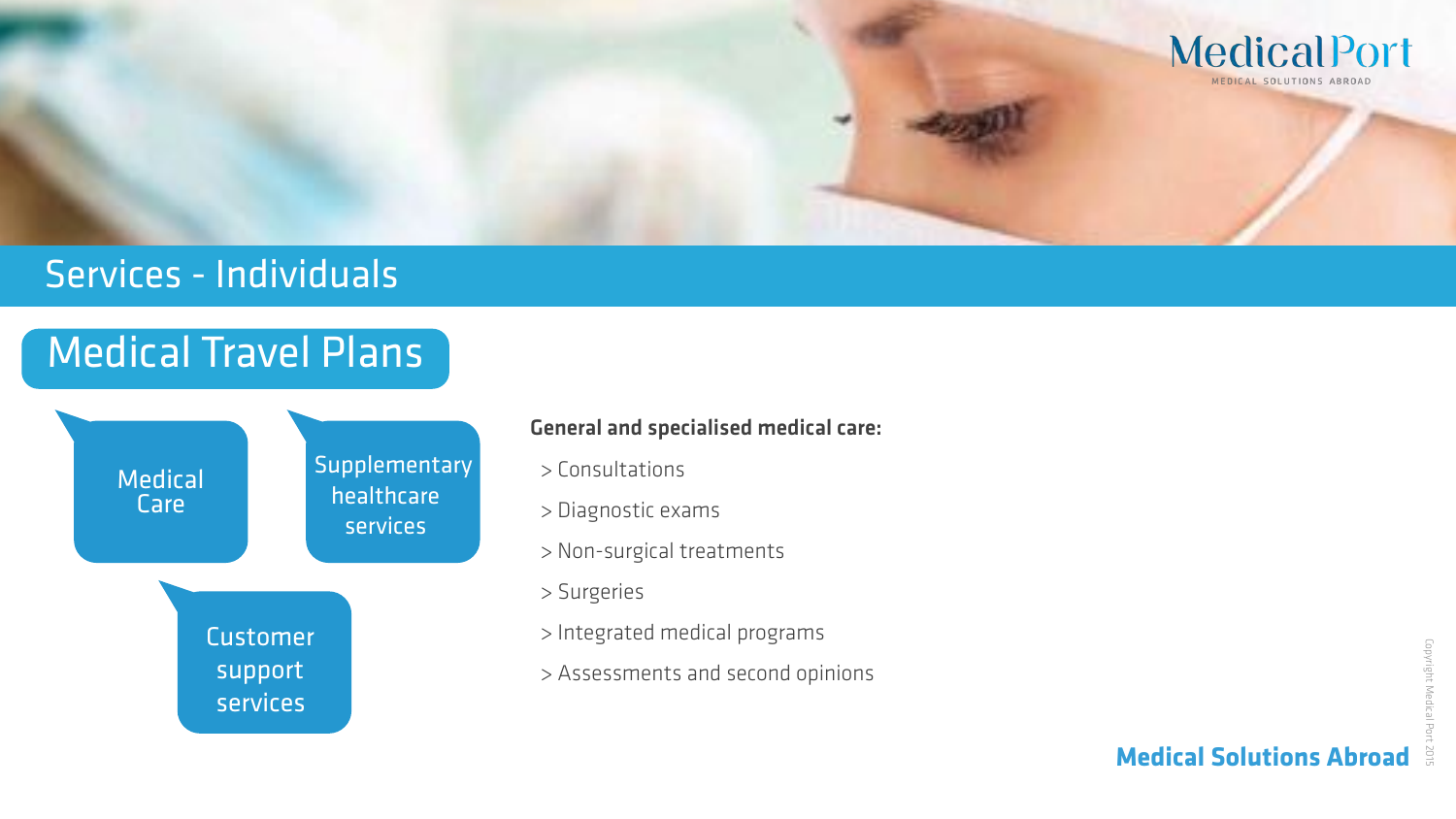## Medical Travel Plans



### General and specialised medical care:

- > Consultations
- > Diagnostic exams
- > Non-surgical treatments
- > Surgeries
- > Integrated medical programs
- > Assessments and second opinions





## Services - Individuals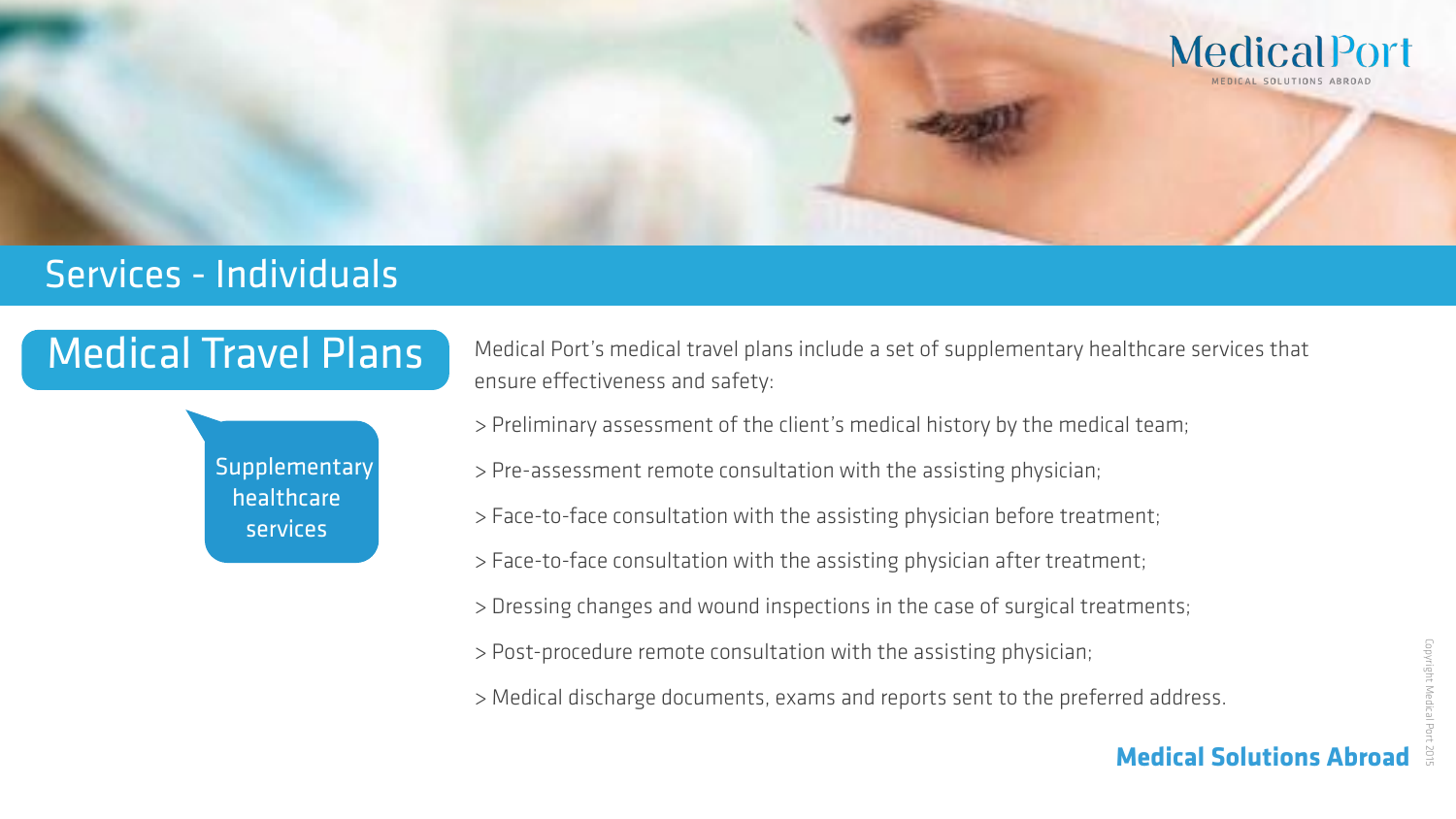

### Services - Individuals

### **Medical Solutions Abroad**

Medical Port's medical travel plans include a set of supplementary healthcare services that ensure effectiveness and safety:

## Medical Travel Plans



- > Preliminary assessment of the client's medical history by the medical team;
- > Pre-assessment remote consultation with the assisting physician;
- > Face-to-face consultation with the assisting physician before treatment;
- > Face-to-face consultation with the assisting physician after treatment;
- > Dressing changes and wound inspections in the case of surgical treatments;
- > Post-procedure remote consultation with the assisting physician;
- > Medical discharge documents, exams and reports sent to the preferred address.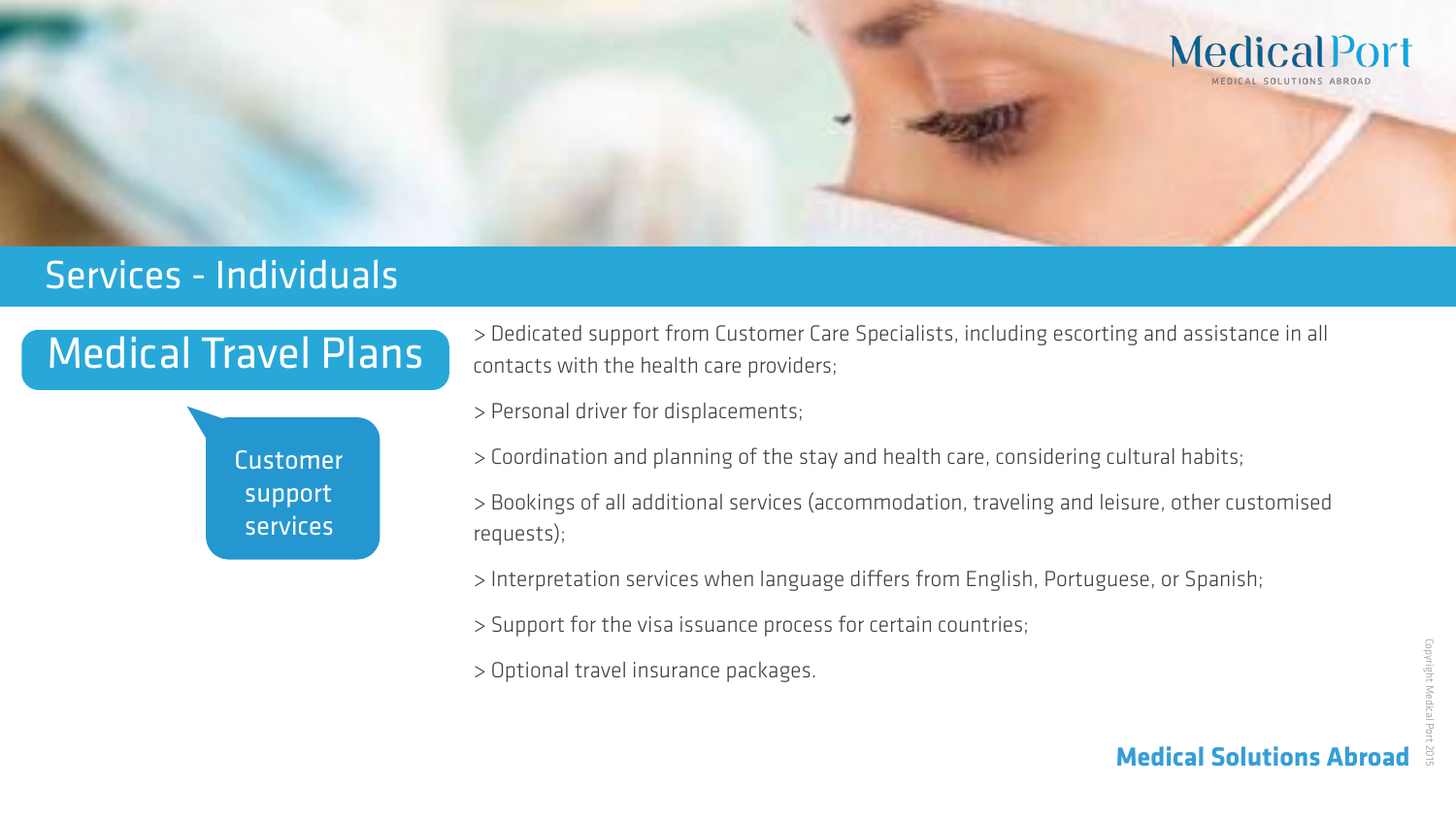## Medical Travel Plans

 Customer support services

> Dedicated support from Customer Care Specialists, including escorting and assistance in all contacts with the health care providers;

- > Personal driver for displacements;
- > Coordination and planning of the stay and health care, considering cultural habits;
- > Bookings of all additional services (accommodation, traveling and leisure, other customised requests);
- > Interpretation services when language difers from English, Portuguese, or Spanish;
- > Support for the visa issuance process for certain countries;
- > Optional travel insurance packages.





### Services - Individuals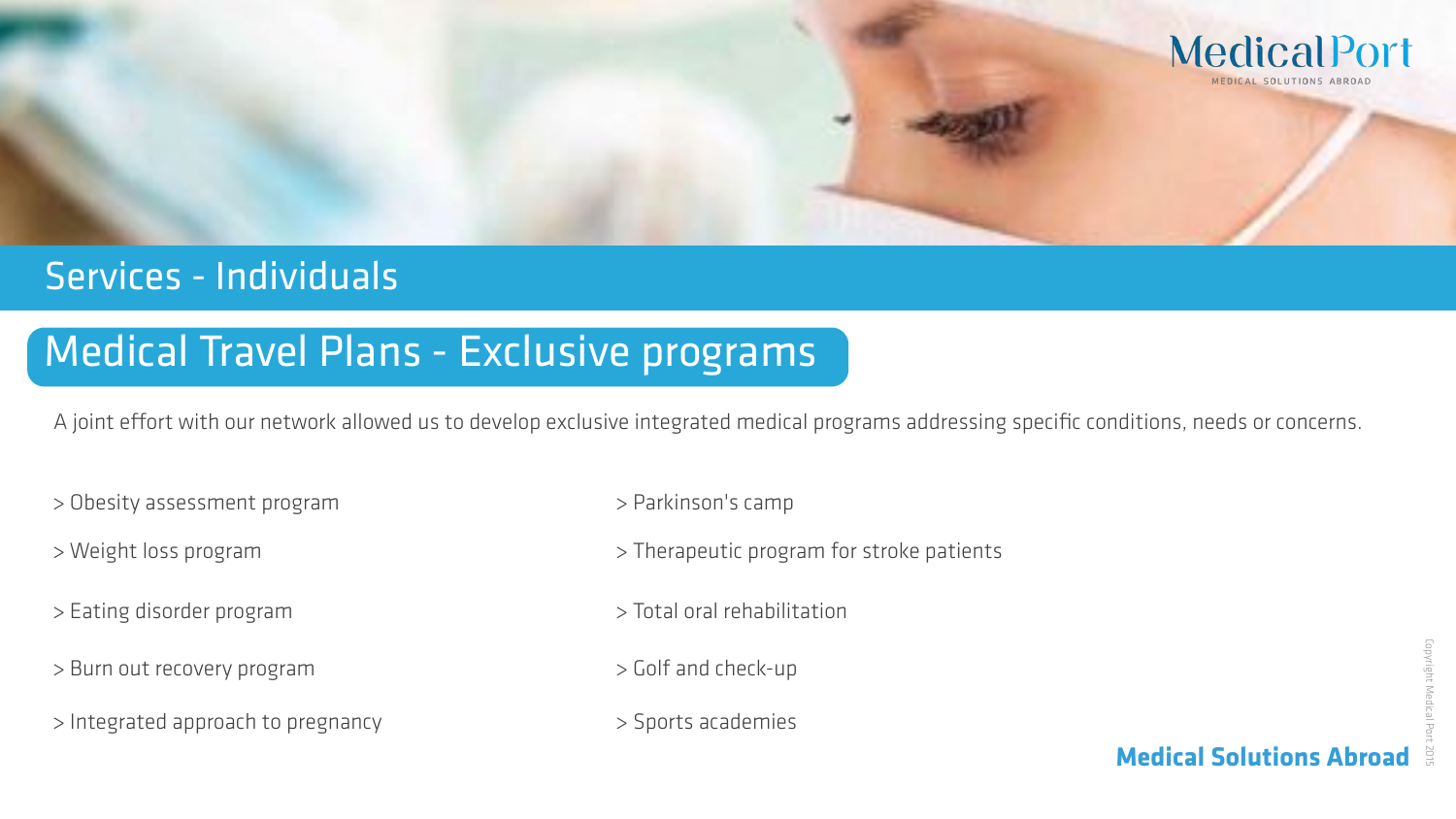## Medical Travel Plans - Exclusive programs

A joint effort with our network allowed us to develop exclusive integrated medical programs addressing specific conditions, needs or concerns.

- > Obesity assessment program  $\rightarrow$  Parkinson's camp
- 
- > Eating disorder program > Total oral rehabilitation
- > Burn out recovery program  $\rightarrow$  Golf and check-up
- > Integrated approach to pregnancy  $\longrightarrow$  Sports academies
- 
- > Weight loss program  $\rightarrow$  Therapeutic program for stroke patients
	-
	-
	-





## Services - Individuals